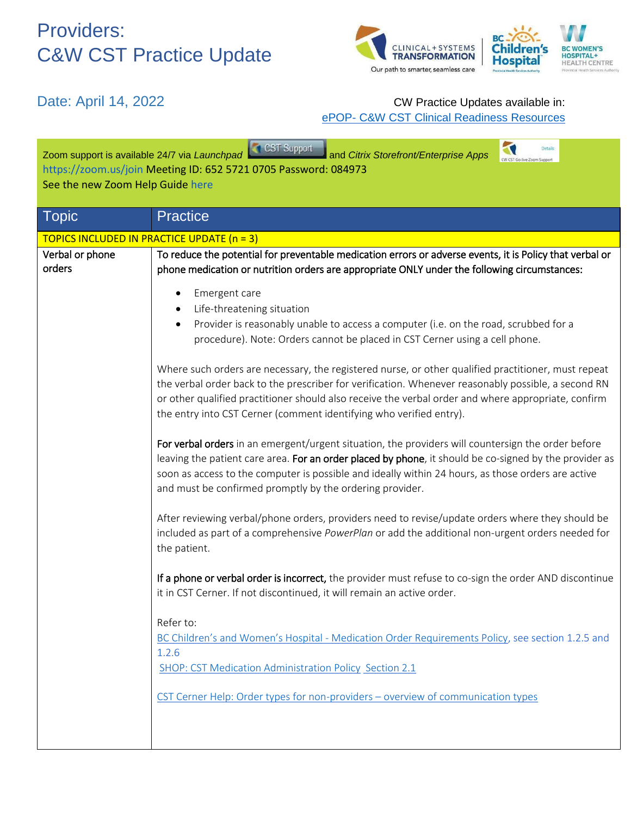

#### Date: April 14, 2022 **CW** Practice Updates available in: ePOP- [C&W CST Clinical Readiness Resources](http://policyandorders.cw.bc.ca/)

| CST Support<br>Zoom support is available 24/7 via Launchpad<br>and Citrix Storefront/Enterprise Apps<br>https://zoom.us/join Meeting ID: 652 5721 0705 Password: 084973<br>See the new Zoom Help Guide here |                                                                                                                                                                                                                                                                                                                                                                                                                                                                                                                                                                                                                                                                                                                                                                                                                                                                                                                                                                                                                                                                                                                                                                                                                                                                                                                                                                                                                           |  |  |
|-------------------------------------------------------------------------------------------------------------------------------------------------------------------------------------------------------------|---------------------------------------------------------------------------------------------------------------------------------------------------------------------------------------------------------------------------------------------------------------------------------------------------------------------------------------------------------------------------------------------------------------------------------------------------------------------------------------------------------------------------------------------------------------------------------------------------------------------------------------------------------------------------------------------------------------------------------------------------------------------------------------------------------------------------------------------------------------------------------------------------------------------------------------------------------------------------------------------------------------------------------------------------------------------------------------------------------------------------------------------------------------------------------------------------------------------------------------------------------------------------------------------------------------------------------------------------------------------------------------------------------------------------|--|--|
| Topic                                                                                                                                                                                                       | <b>Practice</b>                                                                                                                                                                                                                                                                                                                                                                                                                                                                                                                                                                                                                                                                                                                                                                                                                                                                                                                                                                                                                                                                                                                                                                                                                                                                                                                                                                                                           |  |  |
| <b>TOPICS INCLUDED IN PRACTICE UPDATE (n = 3)</b>                                                                                                                                                           |                                                                                                                                                                                                                                                                                                                                                                                                                                                                                                                                                                                                                                                                                                                                                                                                                                                                                                                                                                                                                                                                                                                                                                                                                                                                                                                                                                                                                           |  |  |
| Verbal or phone<br>orders                                                                                                                                                                                   | To reduce the potential for preventable medication errors or adverse events, it is Policy that verbal or<br>phone medication or nutrition orders are appropriate ONLY under the following circumstances:                                                                                                                                                                                                                                                                                                                                                                                                                                                                                                                                                                                                                                                                                                                                                                                                                                                                                                                                                                                                                                                                                                                                                                                                                  |  |  |
|                                                                                                                                                                                                             | Emergent care<br>Life-threatening situation<br>Provider is reasonably unable to access a computer (i.e. on the road, scrubbed for a<br>procedure). Note: Orders cannot be placed in CST Cerner using a cell phone.<br>Where such orders are necessary, the registered nurse, or other qualified practitioner, must repeat<br>the verbal order back to the prescriber for verification. Whenever reasonably possible, a second RN<br>or other qualified practitioner should also receive the verbal order and where appropriate, confirm<br>the entry into CST Cerner (comment identifying who verified entry).<br>For verbal orders in an emergent/urgent situation, the providers will countersign the order before<br>leaving the patient care area. For an order placed by phone, it should be co-signed by the provider as<br>soon as access to the computer is possible and ideally within 24 hours, as those orders are active<br>and must be confirmed promptly by the ordering provider.<br>After reviewing verbal/phone orders, providers need to revise/update orders where they should be<br>included as part of a comprehensive PowerPlan or add the additional non-urgent orders needed for<br>the patient.<br>If a phone or verbal order is incorrect, the provider must refuse to co-sign the order AND discontinue<br>it in CST Cerner. If not discontinued, it will remain an active order.<br>Refer to: |  |  |
|                                                                                                                                                                                                             | BC Children's and Women's Hospital - Medication Order Requirements Policy, see section 1.2.5 and<br>1.2.6<br>SHOP: CST Medication Administration Policy Section 2.1                                                                                                                                                                                                                                                                                                                                                                                                                                                                                                                                                                                                                                                                                                                                                                                                                                                                                                                                                                                                                                                                                                                                                                                                                                                       |  |  |
|                                                                                                                                                                                                             | CST Cerner Help: Order types for non-providers - overview of communication types                                                                                                                                                                                                                                                                                                                                                                                                                                                                                                                                                                                                                                                                                                                                                                                                                                                                                                                                                                                                                                                                                                                                                                                                                                                                                                                                          |  |  |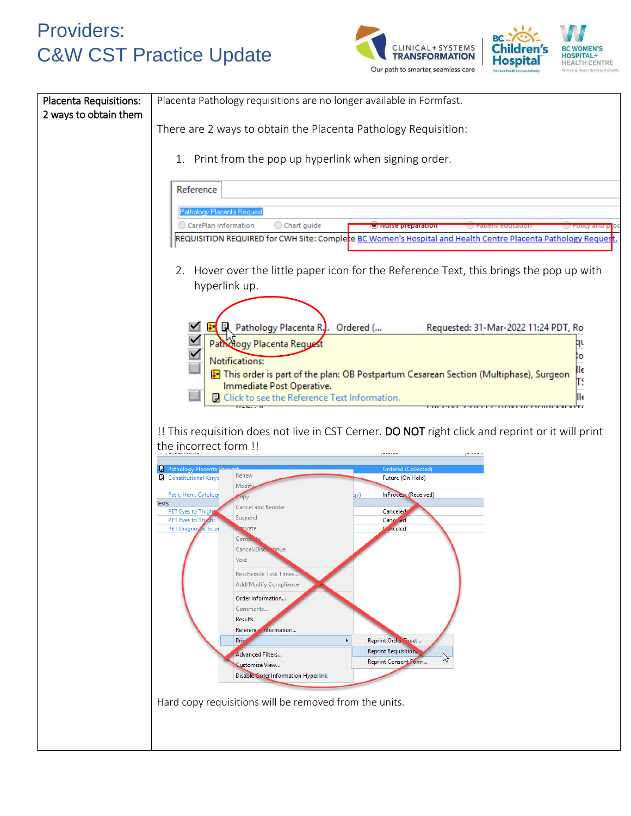



| Placenta Requisitions:<br>2 ways to obtain them | Placenta Pathology requisitions are no longer available in Formfast.                                                                                                         |  |  |
|-------------------------------------------------|------------------------------------------------------------------------------------------------------------------------------------------------------------------------------|--|--|
|                                                 | There are 2 ways to obtain the Placenta Pathology Requisition:                                                                                                               |  |  |
|                                                 | 1. Print from the pop up hyperlink when signing order.                                                                                                                       |  |  |
|                                                 | Reference                                                                                                                                                                    |  |  |
|                                                 | Pathology Placenta Request<br>Chart guide<br>CarePlan information<br><b>U Nurse preparation</b><br>Policy and p                                                              |  |  |
|                                                 | REQUISITION REQUIRED for CWH Site: Complete BC Women's Hospital and Health Centre Placenta Pathology Request                                                                 |  |  |
|                                                 | 2. Hover over the little paper icon for the Reference Text, this brings the pop up with<br>hyperlink up.                                                                     |  |  |
|                                                 |                                                                                                                                                                              |  |  |
|                                                 | L Pathology Placenta R., Ordered (<br>Requested: 31-Mar-2022 11:24 PDT, Ro<br>Pathology Placenta Request                                                                     |  |  |
|                                                 | ٥<br>Notifications:<br>lк                                                                                                                                                    |  |  |
|                                                 | This order is part of the plan: OB Postpartum Cesarean Section (Multiphase), Surgeon<br>T<br>Immediate Post Operative.<br>Click to see the Reference Text Information.<br>Шe |  |  |
|                                                 |                                                                                                                                                                              |  |  |
|                                                 | !! This requisition does not live in CST Cerner. DO NOT right click and reprint or it will print<br>the incorrect form !!                                                    |  |  |
|                                                 | <b>B</b> Pathology Placenta<br>Ordered (Collected)<br>Renew<br>Constitutional Karyo<br>Future (On Hold)                                                                      |  |  |
|                                                 | Modif<br>InProcess (Received)<br>Path, Hem, Cytolog<br><b>Tests</b>                                                                                                          |  |  |
|                                                 | Cancel and Reorder<br>PET Eyes to Thigh<br>Canceled<br>Suspend<br>Cano<br>PET Eyes to Th                                                                                     |  |  |
|                                                 | <b>PET Diagnostic</b><br><b>nceled</b><br>tivate<br>Scal<br>Comp.<br>Cancel/Discultinue                                                                                      |  |  |
|                                                 | Void<br>Reschedule Task Times.                                                                                                                                               |  |  |
|                                                 | Add/Modify Compliance<br>Order Information                                                                                                                                   |  |  |
|                                                 | Comments<br>Results                                                                                                                                                          |  |  |
|                                                 | <b>Reference</b><br>.nformation<br>Prip<br>Reprint Order Sheet<br>٠                                                                                                          |  |  |
|                                                 | Reprint Requisition.<br>Advanced Filters<br>陉<br>Reprint Consent Form<br>Customize View<br>Disable Order Information Hyperlink                                               |  |  |
|                                                 | Hard copy requisitions will be removed from the units.                                                                                                                       |  |  |
|                                                 |                                                                                                                                                                              |  |  |
|                                                 |                                                                                                                                                                              |  |  |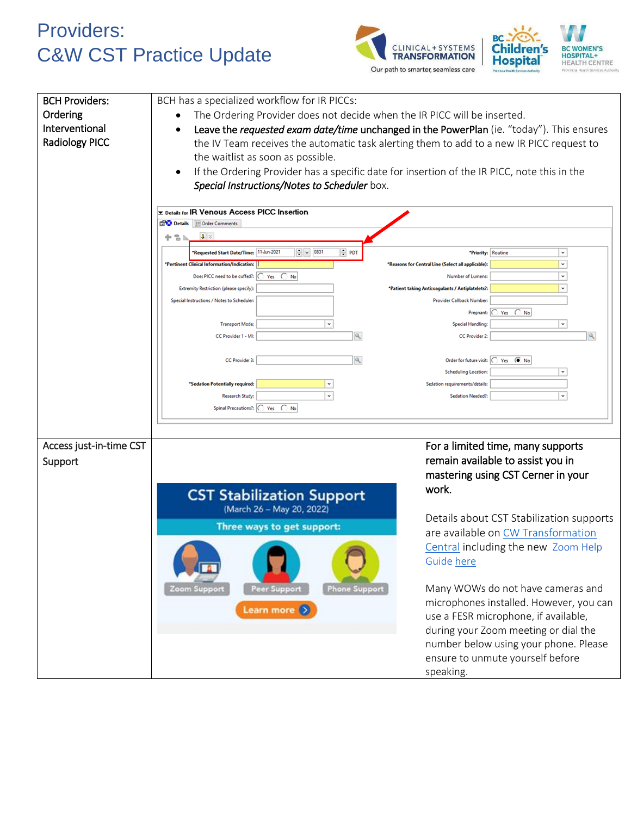



| <b>BCH Providers:</b><br>Ordering<br>Interventional<br><b>Radiology PICC</b> | BCH has a specialized workflow for IR PICCs:<br>The Ordering Provider does not decide when the IR PICC will be inserted.<br>the waitlist as soon as possible.<br>Special Instructions/Notes to Scheduler box.                                                                                | Leave the requested exam date/time unchanged in the PowerPlan (ie. "today"). This ensures<br>the IV Team receives the automatic task alerting them to add to a new IR PICC request to<br>If the Ordering Provider has a specific date for insertion of the IR PICC, note this in the                                                                                                                                                                                                                                   |
|------------------------------------------------------------------------------|----------------------------------------------------------------------------------------------------------------------------------------------------------------------------------------------------------------------------------------------------------------------------------------------|------------------------------------------------------------------------------------------------------------------------------------------------------------------------------------------------------------------------------------------------------------------------------------------------------------------------------------------------------------------------------------------------------------------------------------------------------------------------------------------------------------------------|
|                                                                              | <b>Ex Details for IR Venous Access PICC Insertion</b><br>Details   Order Comments<br>$\sqrt{2}$ $\approx$<br>中音同<br>$\div$ $\sqrt{0831}$<br>$\div$ PDT<br>Requested Start Date/Time: 11-Jun-2021<br>*Pertinent Clinical Information/Indication:<br>Does PICC need to be cuffed?:  ◯ Yes ◯ No | ٧<br>*Priority: Routine<br>v<br>*Reasons for Central Line (Select all applicable):<br>۰<br>Number of Lumens:                                                                                                                                                                                                                                                                                                                                                                                                           |
|                                                                              | Extremity Restriction (please specify):<br>Special Instructions / Notes to Scheduler.<br>$_{\rm v}$<br><b>Transport Mode:</b><br>Q<br>CC Provider 1 - MI:<br>CC Provider 3:                                                                                                                  | $\check{}$<br>"Patient taking Anticoagulants / Antiplatelets ?:<br>Provider Callback Number:<br>Pregnant: C<br>Yes $\bigcirc$ No<br>۰<br><b>Special Handling:</b><br>$\mathbf{Q}$<br>CC Provider 2:<br>Order for future visit: O Yes ( No                                                                                                                                                                                                                                                                              |
|                                                                              | 'Sedation Potentially required:<br>$_{\rm v}$<br>Research Study:<br>Spinal Precautions?:   C Yes C No                                                                                                                                                                                        | <b>Scheduling Location:</b><br>Sedation requirements/details:<br>Sedation Needed?                                                                                                                                                                                                                                                                                                                                                                                                                                      |
| Access just-in-time CST<br>Support                                           | <b>CST Stabilization Support</b><br>(March 26 - May 20, 2022)<br>Three ways to get support:<br><b>Peer Support</b><br><b>Phone Support</b><br>Zoom Support<br>Learn more $( )$                                                                                                               | For a limited time, many supports<br>remain available to assist you in<br>mastering using CST Cerner in your<br>work.<br>Details about CST Stabilization supports<br>are available on CW Transformation<br>Central including the new Zoom Help<br>Guide here<br>Many WOWs do not have cameras and<br>microphones installed. However, you can<br>use a FESR microphone, if available,<br>during your Zoom meeting or dial the<br>number below using your phone. Please<br>ensure to unmute yourself before<br>speaking. |